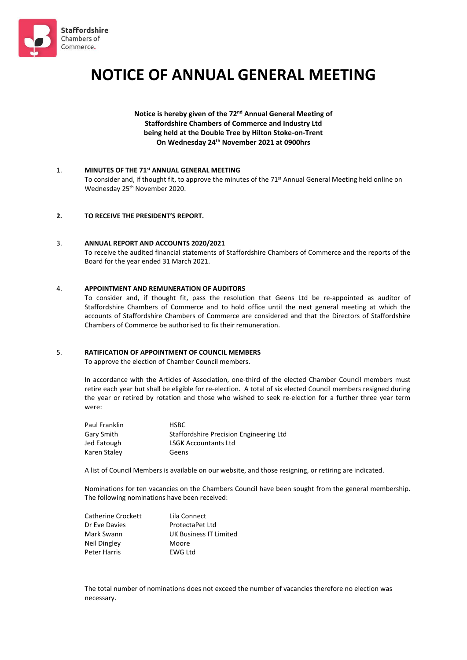

# **NOTICE OF ANNUAL GENERAL MEETING**

## Notice is hereby given of the 72<sup>nd</sup> Annual General Meeting of **Staffordshire Chambers of Commerce and Industry Ltd being held at the Double Tree by Hilton Stoke-on-Trent On Wednesday 24 th November 2021 at 0900hrs**

## 1. **MINUTES OF THE 71 st ANNUAL GENERAL MEETING**

To consider and, if thought fit, to approve the minutes of the 71<sup>st</sup> Annual General Meeting held online on Wednesday 25 th November 2020.

#### **2. TO RECEIVE THE PRESIDENT'S REPORT.**

#### 3. **ANNUAL REPORT AND ACCOUNTS 2020/2021**

To receive the audited financial statements of Staffordshire Chambers of Commerce and the reports of the Board for the year ended 31 March 2021.

### 4. **APPOINTMENT AND REMUNERATION OF AUDITORS**

To consider and, if thought fit, pass the resolution that Geens Ltd be re-appointed as auditor of Staffordshire Chambers of Commerce and to hold office until the next general meeting at which the accounts of Staffordshire Chambers of Commerce are considered and that the Directors of Staffordshire Chambers of Commerce be authorised to fix their remuneration.

#### 5. **RATIFICATION OF APPOINTMENT OF COUNCIL MEMBERS**

To approve the election of Chamber Council members.

In accordance with the Articles of Association, one-third of the elected Chamber Council members must retire each year but shall be eligible for re-election. A total of six elected Council members resigned during the year or retired by rotation and those who wished to seek re-election for a further three year term were:

| Paul Franklin | <b>HSBC</b>                             |
|---------------|-----------------------------------------|
| Gary Smith    | Staffordshire Precision Engineering Ltd |
| Jed Eatough   | <b>LSGK Accountants Ltd</b>             |
| Karen Staley  | Geens                                   |

A list of Council Members is available on our website, and those resigning, or retiring are indicated.

Nominations for ten vacancies on the Chambers Council have been sought from the general membership. The following nominations have been received:

| Catherine Crockett | Lila Connect           |
|--------------------|------------------------|
| Dr Eve Davies      | ProtectaPet Ltd        |
| Mark Swann         | UK Business IT Limited |
| Neil Dingley       | Moore                  |
| Peter Harris       | <b>EWG Ltd</b>         |

The total number of nominations does not exceed the number of vacancies therefore no election was necessary.